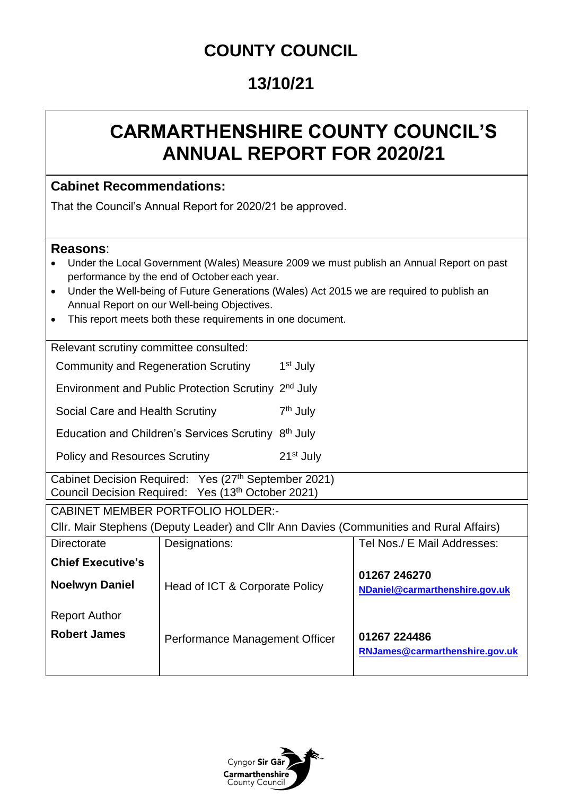## **COUNTY COUNCIL**

## **13/10/21**

# **CARMARTHENSHIRE COUNTY COUNCIL'S ANNUAL REPORT FOR 2020/21**

### **Cabinet Recommendations:**

That the Council's Annual Report for 2020/21 be approved.

#### **Reasons**:

- Under the Local Government (Wales) Measure 2009 we must publish an Annual Report on past performance by the end of October each year.
- Under the Well-being of Future Generations (Wales) Act 2015 we are required to publish an Annual Report on our Well-being Objectives.
- This report meets both these requirements in one document.

Relevant scrutiny committee consulted:

Community and Regeneration Scrutiny 1 1<sup>st</sup> July

Environment and Public Protection Scrutiny 2<sup>nd</sup> July

Social Care and Health Scrutiny 7<sup>th</sup> July

Education and Children's Services Scrutiny 8<sup>th</sup> July

Policy and Resources Scrutiny 21<sup>st</sup> July

Cabinet Decision Required: Yes (27<sup>th</sup> September 2021) Council Decision Required: Yes (13<sup>th</sup> October 2021)

CABINET MEMBER PORTFOLIO HOLDER:-

Cllr. Mair Stephens (Deputy Leader) and Cllr Ann Davies (Communities and Rural Affairs)

| Directorate              | Designations:                  | Tel Nos./ E Mail Addresses:                    |
|--------------------------|--------------------------------|------------------------------------------------|
| <b>Chief Executive's</b> |                                |                                                |
| <b>Noelwyn Daniel</b>    | Head of ICT & Corporate Policy | 01267 246270<br>NDaniel@carmarthenshire.gov.uk |
| <b>Report Author</b>     |                                |                                                |
| <b>Robert James</b>      | Performance Management Officer | 01267 224486<br>RNJames@carmarthenshire.gov.uk |

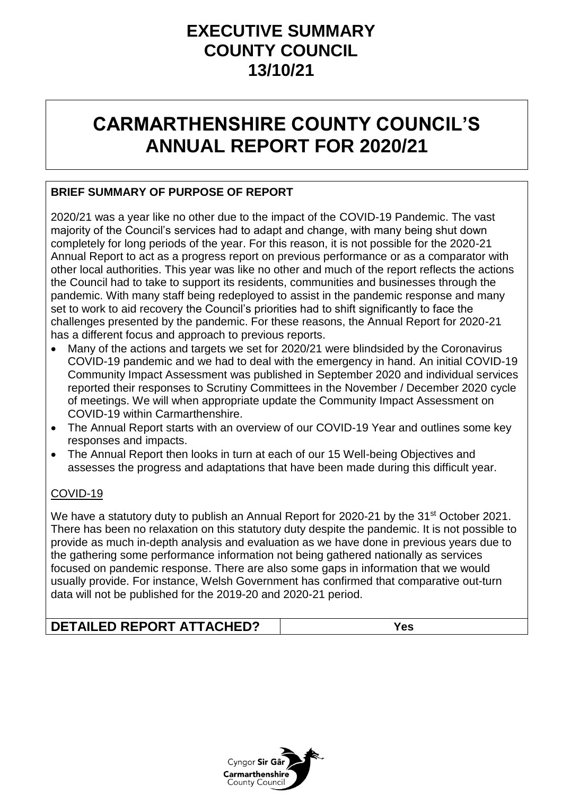## **EXECUTIVE SUMMARY COUNTY COUNCIL 13/10/21**

# **CARMARTHENSHIRE COUNTY COUNCIL'S ANNUAL REPORT FOR 2020/21**

### **BRIEF SUMMARY OF PURPOSE OF REPORT**

2020/21 was a year like no other due to the impact of the COVID-19 Pandemic. The vast majority of the Council's services had to adapt and change, with many being shut down completely for long periods of the year. For this reason, it is not possible for the 2020-21 Annual Report to act as a progress report on previous performance or as a comparator with other local authorities. This year was like no other and much of the report reflects the actions the Council had to take to support its residents, communities and businesses through the pandemic. With many staff being redeployed to assist in the pandemic response and many set to work to aid recovery the Council's priorities had to shift significantly to face the challenges presented by the pandemic. For these reasons, the Annual Report for 2020-21 has a different focus and approach to previous reports.

- Many of the actions and targets we set for 2020/21 were blindsided by the Coronavirus COVID-19 pandemic and we had to deal with the emergency in hand. An initial COVID-19 Community Impact Assessment was published in September 2020 and individual services reported their responses to Scrutiny Committees in the November / December 2020 cycle of meetings. We will when appropriate update the Community Impact Assessment on COVID-19 within Carmarthenshire.
- The Annual Report starts with an overview of our COVID-19 Year and outlines some key responses and impacts.
- The Annual Report then looks in turn at each of our 15 Well-being Objectives and assesses the progress and adaptations that have been made during this difficult year.

#### COVID-19

We have a statutory duty to publish an Annual Report for 2020-21 by the 31<sup>st</sup> October 2021. There has been no relaxation on this statutory duty despite the pandemic. It is not possible to provide as much in-depth analysis and evaluation as we have done in previous years due to the gathering some performance information not being gathered nationally as services focused on pandemic response. There are also some gaps in information that we would usually provide. For instance, Welsh Government has confirmed that comparative out-turn data will not be published for the 2019-20 and 2020-21 period.

## **DETAILED REPORT ATTACHED? Yes**

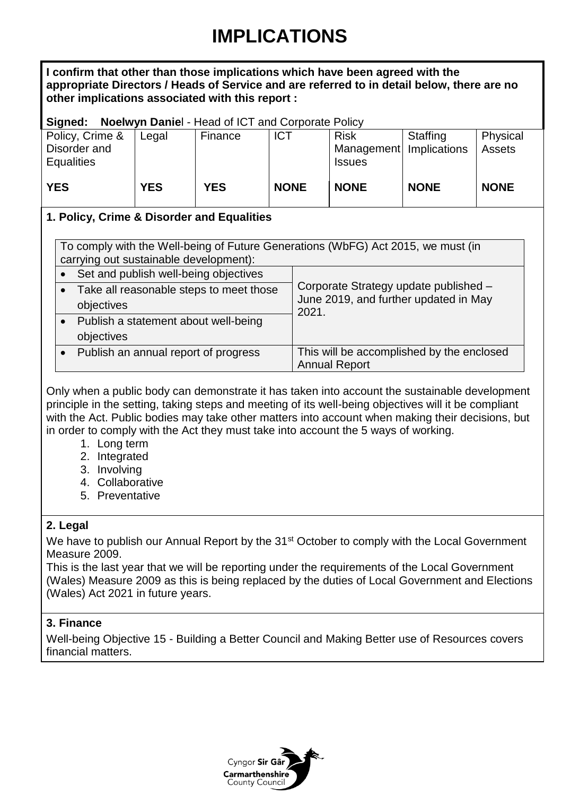# **IMPLICATIONS**

**I confirm that other than those implications which have been agreed with the appropriate Directors / Heads of Service and are referred to in detail below, there are no other implications associated with this report :**

#### **Signed: Noelwyn Danie**l - Head of ICT and Corporate Policy

| Policy, Crime &   | Legal      | Finance    | <b>ICT</b>  | <b>Risk</b>               | <b>Staffing</b> | Physical    |
|-------------------|------------|------------|-------------|---------------------------|-----------------|-------------|
| Disorder and      |            |            |             | Management   Implications |                 | Assets      |
| <b>Equalities</b> |            |            |             | <b>Issues</b>             |                 |             |
|                   |            |            |             |                           |                 |             |
| <b>YES</b>        | <b>YES</b> | <b>YES</b> | <b>NONE</b> | <b>NONE</b>               | <b>NONE</b>     | <b>NONE</b> |
|                   |            |            |             |                           |                 |             |

#### **1. Policy, Crime & Disorder and Equalities**

| To comply with the Well-being of Future Generations (WbFG) Act 2015, we must (in<br>carrying out sustainable development): |                                           |                                                                   |  |  |
|----------------------------------------------------------------------------------------------------------------------------|-------------------------------------------|-------------------------------------------------------------------|--|--|
|                                                                                                                            | Set and publish well-being objectives     |                                                                   |  |  |
|                                                                                                                            | • Take all reasonable steps to meet those | Corporate Strategy update published -                             |  |  |
|                                                                                                                            | objectives                                | June 2019, and further updated in May<br>2021.                    |  |  |
|                                                                                                                            | Publish a statement about well-being      |                                                                   |  |  |
|                                                                                                                            | objectives                                |                                                                   |  |  |
|                                                                                                                            | Publish an annual report of progress      | This will be accomplished by the enclosed<br><b>Annual Report</b> |  |  |

Only when a public body can demonstrate it has taken into account the sustainable development principle in the setting, taking steps and meeting of its well-being objectives will it be compliant with the Act. Public bodies may take other matters into account when making their decisions, but in order to comply with the Act they must take into account the 5 ways of working.

- 1. Long term
- 2. Integrated
- 3. Involving
- 4. Collaborative
- 5. Preventative

### **2. Legal**

We have to publish our Annual Report by the 31<sup>st</sup> October to comply with the Local Government Measure 2009.

This is the last year that we will be reporting under the requirements of the Local Government (Wales) Measure 2009 as this is being replaced by the duties of Local Government and Elections (Wales) Act 2021 in future years.

### **3. Finance**

Well-being Objective 15 - Building a Better Council and Making Better use of Resources covers financial matters.